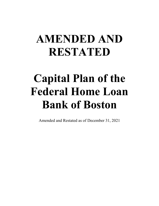# **AMENDED AND RESTATED**

# **Capital Plan of the Federal Home Loan Bank of Boston**

Amended and Restated as of December 31, 2021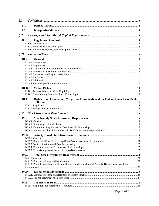| ŞΙ.          |        |                                                                                              |  |
|--------------|--------|----------------------------------------------------------------------------------------------|--|
| I.A.         |        |                                                                                              |  |
| I.B.         |        |                                                                                              |  |
| ŞН.          |        |                                                                                              |  |
| II.A.        |        |                                                                                              |  |
|              |        |                                                                                              |  |
|              |        |                                                                                              |  |
|              |        |                                                                                              |  |
| ŞШ.          |        |                                                                                              |  |
|              | III.A. |                                                                                              |  |
|              |        |                                                                                              |  |
|              |        |                                                                                              |  |
|              |        |                                                                                              |  |
|              |        |                                                                                              |  |
|              |        |                                                                                              |  |
|              |        |                                                                                              |  |
|              |        |                                                                                              |  |
|              |        |                                                                                              |  |
|              |        |                                                                                              |  |
|              |        |                                                                                              |  |
|              |        |                                                                                              |  |
| $S\!I\!V.$   |        |                                                                                              |  |
| <b>IV.A.</b> |        |                                                                                              |  |
|              |        |                                                                                              |  |
|              |        |                                                                                              |  |
|              |        |                                                                                              |  |
|              |        |                                                                                              |  |
|              |        |                                                                                              |  |
|              |        |                                                                                              |  |
|              |        |                                                                                              |  |
|              |        |                                                                                              |  |
|              |        |                                                                                              |  |
| IV.C.        |        |                                                                                              |  |
|              |        |                                                                                              |  |
|              |        |                                                                                              |  |
|              |        | IV.C.3. Prompt Compliance with Adjustments to Membership and Activity-Based Stock Investment |  |
| IV.D.        |        |                                                                                              |  |
|              |        |                                                                                              |  |
|              |        |                                                                                              |  |
|              |        |                                                                                              |  |
| IV.E.        |        |                                                                                              |  |
|              |        |                                                                                              |  |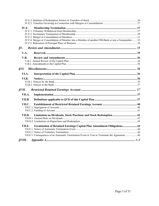| <b>IV.F.</b>  | IV.F.4. Merger or Consolidation of Member into a Member of another FHLBank or into a Nonmember32 |  |  |  |  |
|---------------|--------------------------------------------------------------------------------------------------|--|--|--|--|
| $\delta V$ .  |                                                                                                  |  |  |  |  |
| V.A.          |                                                                                                  |  |  |  |  |
| V.B.          |                                                                                                  |  |  |  |  |
|               |                                                                                                  |  |  |  |  |
|               |                                                                                                  |  |  |  |  |
|               |                                                                                                  |  |  |  |  |
| VI.A.         |                                                                                                  |  |  |  |  |
| VI.B.         |                                                                                                  |  |  |  |  |
|               |                                                                                                  |  |  |  |  |
|               |                                                                                                  |  |  |  |  |
| <b>SVII.</b>  |                                                                                                  |  |  |  |  |
| VII.A.        |                                                                                                  |  |  |  |  |
| VII.B.        |                                                                                                  |  |  |  |  |
| VII.C.        |                                                                                                  |  |  |  |  |
|               |                                                                                                  |  |  |  |  |
|               |                                                                                                  |  |  |  |  |
| VII.D.        | Limitation on Dividends, Stock Purchase and Stock Redemption 43                                  |  |  |  |  |
|               |                                                                                                  |  |  |  |  |
|               |                                                                                                  |  |  |  |  |
| VII.E.        | Termination of Retained Earnings Capital Plan Amendment Obligations 44                           |  |  |  |  |
|               |                                                                                                  |  |  |  |  |
|               |                                                                                                  |  |  |  |  |
|               | VII.E.3. Consequences of an Automatic Termination Event or Vote to Terminate the Agreement 46    |  |  |  |  |
| <b>SVIII.</b> |                                                                                                  |  |  |  |  |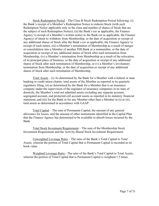Stock Redemption Period – The Class B Stock Redemption Period following: (i) the Bank's receipt of a Member's Redemption Notice to redeem Stock (with such Redemption Notice applicable only to the class and number of shares of Stock that are the subject of such Redemption Notice); (ii) the Bank's (or as applicable, the Finance Agency's) receipt of a Member's written notice to the Bank (or as applicable, the Finance Agency) of intent to withdraw from Membership, or the date of acquisition or receipt of any additional shares of Stock after the Bank's (or as applicable, the Finance Agency's) receipt of such notice, (iii) a Member's termination of Membership as a result of merger or consolidation into a Member of another FHLBank or a nonmember, or the date of acquisition or receipt of any additional shares of Stock after such termination from Membership, (iv) a Member's termination from Membership as a result of the relocation of its principal place of business, or the date of acquisition or receipt of any additional shares of Stock after such termination of Membership, or (v) a Member's involuntary termination from Membership, or the date of acquisition or receipt of any additional shares of Stock after such termination of Membership.

Total Assets  $-$  (i) As determined by the Bank for a Member with a federal or state banking or credit union charter, total assets of the Member as reported in its quarterly regulatory filing; (ii) as determined by the Bank for a Member that is an insurance company under the supervision of the regulator of insurance companies in its state of domicile, the Member's total net admitted assets excluding any separate account, segregated account, and protected cell account assets as reported in its statutory financial statement; and (iii) for the Bank or for any Member other than a Member in (i) or (ii), total assets as determined in accordance with GAAP.

Total Capital – The sum of Permanent Capital, the amount of any general allowance for losses, and the amount of other instruments identified in the Capital Plan that the Finance Agency has determined to be available to absorb losses incurred by the Bank.

Total Stock Investment Requirement – The sum of the Membership Stock Investment Requirement and the Activity-Based Stock Investment Requirement.

Unweighted Leverage Ratio – The ratio of the Bank's Total Capital to Total Assets, wherein the portion of Total Capital that is Permanent Capital is recorded as its book value.

Weighted Leverage Ratio - The ratio of the Bank's Total Capital to Total Assets, wherein the portion of Total Capital that is Permanent Capital is weighted 1.5 times.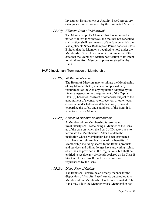Investment Requirement as Activity-Based Assets are extinguished or repurchased by the terminated Member.

#### *IV.F.1(f) Effective Date of Withdrawal*

The Membership of a Member that has submitted a notice of intent to withdraw, and that has not cancelled such notice, shall terminate as of the date on which the last applicable Stock Redemption Period ends for Class B Stock that the Member is required to hold under the Membership Stock Investment Requirement as of the date that the Member's written notification of its intent to withdraw from Membership was received by the Bank.

### <span id="page-28-0"></span>IV.F.2.Involuntary Termination of Membership

### *IV.F.2(a) Written Notification*

The Board of Directors may terminate the Membership of any Member that: (i) fails to comply with any requirement of the Act, any regulation adopted by the Finance Agency, or any requirement of the Capital Plan, (ii) becomes insolvent or otherwise subject to the appointment of a conservator, receiver, or other legal custodian under federal or state law, or (iii) would jeopardize the safety and soundness of the Bank if it were to remain a Member.

### *IV.F.2(b) Access to Benefits of Membership*

A Member whose Membership is terminated involuntarily shall cease being a Member of the Bank as of the date on which the Board of Directors acts to terminate the Membership. After that date the institution whose Membership has been terminated shall have no right to obtain any of the benefits of Membership including access to the Bank's products and services and will no longer have any voting rights, other than as provided in the Regulations, but shall be entitled to receive any dividends declared on its Class B Stock until the Class B Stock is redeemed or repurchased by the Bank.

## *IV.F.2(c) Disposition of Claims*

The Bank shall determine an orderly manner for the disposition of Activity-Based Assets outstanding to a Member whose Membership has been terminated. The Bank may allow the Member whose Membership has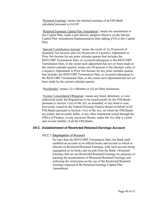'Retained Earnings' means the retained earnings of an FHLBank calculated pursuant to GAAP.

'Retained Earnings Capital Plan Amendment' means the amendment to this Capital Plan, made a part thereof, adopted effective on the Interim Capital Plan Amendment Implementation Date adding [§VII](#page-36-1) to this Capital Plan.

'Special Contribution Amount' means the result of: (i) 50 percent of Quarterly Net Income; plus (ii) 50 percent of a positive Adjustment to Prior Net Income for any prior calendar quarter that includes the REFCORP Termination Date, or occurred subsequent to the REFCORP Termination Date, to the extent such adjustment has not yet been made in the current calendar quarter; minus (iii) 50 percent of the absolute value of a negative Adjustment to Prior Net Income for any prior calendar quarter that includes the REFCORP Termination Date, or occurred subsequent to the REFCORP Termination Date, to the extent such adjustment has not yet been made by the current calendar quarter.

'Stockholder' means: (i) a Member or (ii) an Other Institution.

'System Consolidated Obligation' means any bond, debenture, or note authorized under the Regulations to be issued jointly by the FHLBanks pursuant to Section 11(a) of the Act, as amended, or any bond or note previously issued by the Federal Housing Finance Board on behalf of all FHLBanks pursuant to Section 11(c) of the Act, on which the FHLBanks are jointly and severally liable, or any other instrument issued through the Office of Finance, or any successor thereto, under the Act, that is a joint and several liability of all the FHLBanks.

### <span id="page-39-1"></span><span id="page-39-0"></span>*VII.C. Establishment of Restricted Retained Earnings Account*

#### VII.C.1.Segregation of Account

No later than the REFCORP Termination Date, the Bank shall establish an account in its official books and records in which to allocate its Restricted Retained Earnings, with such account being segregated on its books and records from the Bank's Retained Earnings that are not Restricted Retained Earnings for purposes of tracking the accumulation of Restricted Retained Earnings and enforcing the restrictions on the use of the Restricted Retained Earnings imposed in the Retained Earnings Capital Plan Amendment.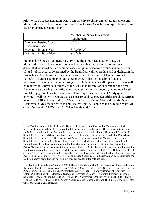Prior to the First Recalculation Date, Membership Stock Investment Requirement and Membership Stock Investment Base shall be as follows (which is excerpted below from the prior approved Capital Plan):

|                        | Membership Stock Investment<br>Requirement |
|------------------------|--------------------------------------------|
| % of Membership Stock  | 0.20%                                      |
| <b>Investment Base</b> |                                            |
| Membership Stock Cap   | \$10,000,000                               |
| Membership Stock Floor | \$10,000                                   |

Membership Stock Investment Base: Prior to the First Recalculation Date, the Membership Stock Investment Base shall be calculated as a summation of nondiscounted values of certain Member assets eligible to secure Advances under Section 10(a)(3) of the Act, as determined by the Bank from call report data and as defined in the Products and Solutions Guide (which forms a part of the Bank's Member Products Policy).<sup>3</sup> Insurance companies and other members that do not submit financial information to a regulatory body through a publicly available call reporting process will be required to submit data directly to the Bank that are similar in substance and time frame to those data filed in thrift, bank, and credit union call reports, including Closed-End Mortgages on One- to Four-Family Dwelling Units; Permanent Mortgages on Five or More Dwelling Units; United States Treasury and Agency Securities (Exclude MBS); Residential MBS Guaranteed by GNMA or Issued by Fannie Mae and Freddie Mac; Residential CMOs issued by or guaranteed by GNMA, Fannie Mae or Freddie Mac; All Other Residential CMOs; and All Other Residential MBS.

<sup>&</sup>lt;sup>3</sup> For Members filing FFIEC 031 or 041 Reports of Condition and Income, the Membership Stock Investment Base would equal the sum of the following line items: Schedule RC-C, lines 1.c.(2)(a) and 1.c.(2)(b) (Closed-end Loans Secured by First and Junior Liens on 1-4 Family Residential Properties), Schedule RC-C, line 1.d (Mortgage Loans Secured by Multifamily (5 or more) Residential Properties), Schedule RC-B, lines 1, 2 (U.S. Treasury and Agency Securities, Excluding Mortgage-backed Securities), Schedule RC-B, lines 4.a.(1), 4.a.(2), 4.b.(1), and 4.b.(2) (Mortgage-backed Securities Guaranteed by Ginnie Mae or Issued by Fannie Mae and Freddie Mac), and Schedule RC-B, lines 4.a.(3) and 4.b.(3) (Other Mortgage-backed Securities). For members filing FFIEC 051 Reports of Condition and Income, the first three items are the same as above, while the last two line items are: Schedule RC-B, Lines 4.a. (1), 4.b (1), and 4.b.(2) (MBS Guaranteed by Ginnie Mae or Issued by Fannie Mae and Freddie Mac), and Schedule RC-B, lines 4.a.(2) and 4.b.(3) (Other Mortgage-backed Securities). In all cases, amortized cost is used for held-to-maturity securities and fair value is used for available-for-sale securities.

For Members filing a Credit Union 5300 Call Report, the Membership Stock Investment Base would equal the sum of line items: Loans (page 6) Line 9 (Code 703A) Less Schedule A- Section 2 (page 15) - Line 16 (Code 704A2) (Total Loans/Lines of Credit Secured by 1st Lien 1-4 Family Residential Properties *less* Balance Outstanding of 1st Mortgage Residential Construction Loans – Excluding Business Purpose), Schedule B (page 18) Line 1.e Code 741C (Total U.S. Government Obligations), and Schedule B (page 18) Line 2.c Code 742C (Total Federal Agency Securities), and Schedule B (page 18) Line .2 Code 981 (Total Other Mortgage-Backed Securities).